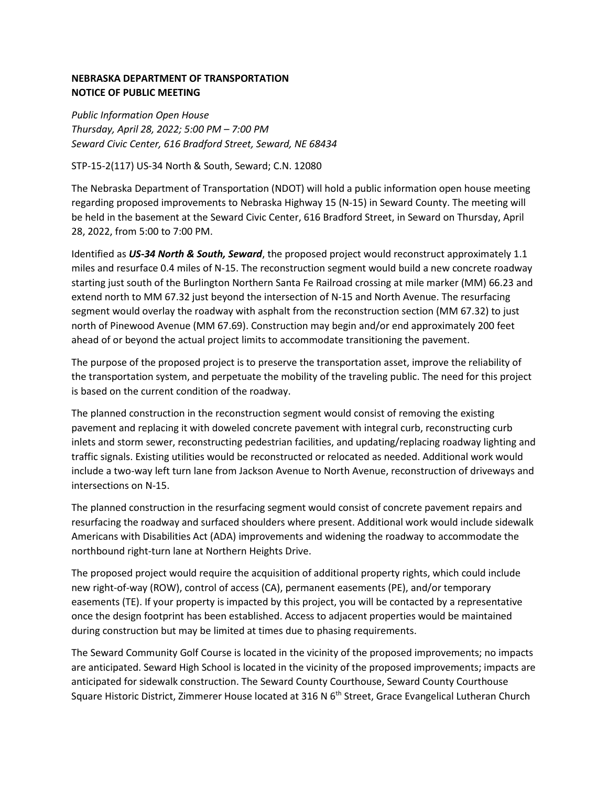## **NEBRASKA DEPARTMENT OF TRANSPORTATION NOTICE OF PUBLIC MEETING**

*Public Information Open House Thursday, April 28, 2022; 5:00 PM – 7:00 PM Seward Civic Center, 616 Bradford Street, Seward, NE 68434*

## STP-15-2(117) US-34 North & South, Seward; C.N. 12080

The Nebraska Department of Transportation (NDOT) will hold a public information open house meeting regarding proposed improvements to Nebraska Highway 15 (N-15) in Seward County. The meeting will be held in the basement at the Seward Civic Center, 616 Bradford Street, in Seward on Thursday, April 28, 2022, from 5:00 to 7:00 PM.

Identified as *US-34 North & South, Seward*, the proposed project would reconstruct approximately 1.1 miles and resurface 0.4 miles of N-15. The reconstruction segment would build a new concrete roadway starting just south of the Burlington Northern Santa Fe Railroad crossing at mile marker (MM) 66.23 and extend north to MM 67.32 just beyond the intersection of N-15 and North Avenue. The resurfacing segment would overlay the roadway with asphalt from the reconstruction section (MM 67.32) to just north of Pinewood Avenue (MM 67.69). Construction may begin and/or end approximately 200 feet ahead of or beyond the actual project limits to accommodate transitioning the pavement.

The purpose of the proposed project is to preserve the transportation asset, improve the reliability of the transportation system, and perpetuate the mobility of the traveling public. The need for this project is based on the current condition of the roadway.

The planned construction in the reconstruction segment would consist of removing the existing pavement and replacing it with doweled concrete pavement with integral curb, reconstructing curb inlets and storm sewer, reconstructing pedestrian facilities, and updating/replacing roadway lighting and traffic signals. Existing utilities would be reconstructed or relocated as needed. Additional work would include a two-way left turn lane from Jackson Avenue to North Avenue, reconstruction of driveways and intersections on N-15.

The planned construction in the resurfacing segment would consist of concrete pavement repairs and resurfacing the roadway and surfaced shoulders where present. Additional work would include sidewalk Americans with Disabilities Act (ADA) improvements and widening the roadway to accommodate the northbound right-turn lane at Northern Heights Drive.

The proposed project would require the acquisition of additional property rights, which could include new right-of-way (ROW), control of access (CA), permanent easements (PE), and/or temporary easements (TE). If your property is impacted by this project, you will be contacted by a representative once the design footprint has been established. Access to adjacent properties would be maintained during construction but may be limited at times due to phasing requirements.

The Seward Community Golf Course is located in the vicinity of the proposed improvements; no impacts are anticipated. Seward High School is located in the vicinity of the proposed improvements; impacts are anticipated for sidewalk construction. The Seward County Courthouse, Seward County Courthouse Square Historic District, Zimmerer House located at 316 N 6<sup>th</sup> Street, Grace Evangelical Lutheran Church